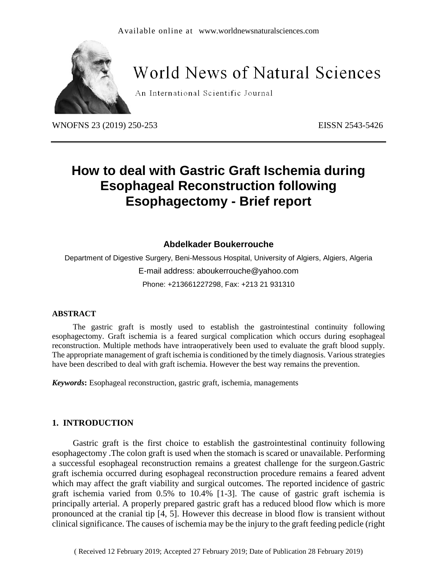

# **World News of Natural Sciences**

An International Scientific Journal

WNOFNS 23 (2019) 250-253 EISSN 2543-5426

## **How to deal with Gastric Graft Ischemia during Esophageal Reconstruction following Esophagectomy - Brief report**

### **Abdelkader Boukerrouche**

Department of Digestive Surgery, Beni-Messous Hospital, University of Algiers, Algiers, Algeria E-mail address: aboukerrouche@yahoo.com Phone: +213661227298, Fax: +213 21 931310

#### **ABSTRACT**

The gastric graft is mostly used to establish the gastrointestinal continuity following esophagectomy. Graft ischemia is a feared surgical complication which occurs during esophageal reconstruction. Multiple methods have intraoperatively been used to evaluate the graft blood supply. The appropriate management of graft ischemia is conditioned by the timely diagnosis. Various strategies have been described to deal with graft ischemia. However the best way remains the prevention.

*Keywords***:** Esophageal reconstruction, gastric graft, ischemia, managements

#### **1. INTRODUCTION**

Gastric graft is the first choice to establish the gastrointestinal continuity following esophagectomy .The colon graft is used when the stomach is scared or unavailable. Performing a successful esophageal reconstruction remains a greatest challenge for the surgeon.Gastric graft ischemia occurred during esophageal reconstruction procedure remains a feared advent which may affect the graft viability and surgical outcomes. The reported incidence of gastric graft ischemia varied from 0.5% to 10.4% [1-3]. The cause of gastric graft ischemia is principally arterial. A properly prepared gastric graft has a reduced blood flow which is more pronounced at the cranial tip [4, 5]. However this decrease in blood flow is transient without clinical significance. The causes of ischemia may be the injury to the graft feeding pedicle (right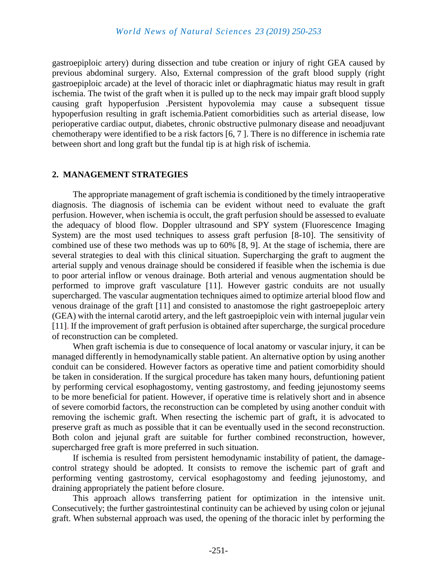gastroepiploic artery) during dissection and tube creation or injury of right GEA caused by previous abdominal surgery. Also, External compression of the graft blood supply (right gastroepiploic arcade) at the level of thoracic inlet or diaphragmatic hiatus may result in graft ischemia. The twist of the graft when it is pulled up to the neck may impair graft blood supply causing graft hypoperfusion .Persistent hypovolemia may cause a subsequent tissue hypoperfusion resulting in graft ischemia.Patient comorbidities such as arterial disease, low perioperative cardiac output, diabetes, chronic obstructive pulmonary disease and neoadjuvant chemotherapy were identified to be a risk factors [6, 7 ]. There is no difference in ischemia rate between short and long graft but the fundal tip is at high risk of ischemia.

#### **2. MANAGEMENT STRATEGIES**

The appropriate management of graft ischemia is conditioned by the timely intraoperative diagnosis. The diagnosis of ischemia can be evident without need to evaluate the graft perfusion. However, when ischemia is occult, the graft perfusion should be assessed to evaluate the adequacy of blood flow. Doppler ultrasound and SPY system (Fluorescence Imaging System) are the most used techniques to assess graft perfusion [8-10]. The sensitivity of combined use of these two methods was up to 60% [8, 9]. At the stage of ischemia, there are several strategies to deal with this clinical situation. Supercharging the graft to augment the arterial supply and venous drainage should be considered if feasible when the ischemia is due to poor arterial inflow or venous drainage. Both arterial and venous augmentation should be performed to improve graft vasculature [11]. However gastric conduits are not usually supercharged. The vascular augmentation techniques aimed to optimize arterial blood flow and venous drainage of the graft [11] and consisted to anastomose the right gastroepeploic artery (GEA) with the internal carotid artery, and the left gastroepiploic vein with internal jugular vein [11]. If the improvement of graft perfusion is obtained after supercharge, the surgical procedure of reconstruction can be completed.

When graft ischemia is due to consequence of local anatomy or vascular injury, it can be managed differently in hemodynamically stable patient. An alternative option by using another conduit can be considered. However factors as operative time and patient comorbidity should be taken in consideration. If the surgical procedure has taken many hours, defuntioning patient by performing cervical esophagostomy, venting gastrostomy, and feeding jejunostomy seems to be more beneficial for patient. However, if operative time is relatively short and in absence of severe comorbid factors, the reconstruction can be completed by using another conduit with removing the ischemic graft. When resecting the ischemic part of graft, it is advocated to preserve graft as much as possible that it can be eventually used in the second reconstruction. Both colon and jejunal graft are suitable for further combined reconstruction, however, supercharged free graft is more preferred in such situation.

If ischemia is resulted from persistent hemodynamic instability of patient, the damagecontrol strategy should be adopted. It consists to remove the ischemic part of graft and performing venting gastrostomy, cervical esophagostomy and feeding jejunostomy, and draining appropriately the patient before closure.

This approach allows transferring patient for optimization in the intensive unit. Consecutively; the further gastrointestinal continuity can be achieved by using colon or jejunal graft. When substernal approach was used, the opening of the thoracic inlet by performing the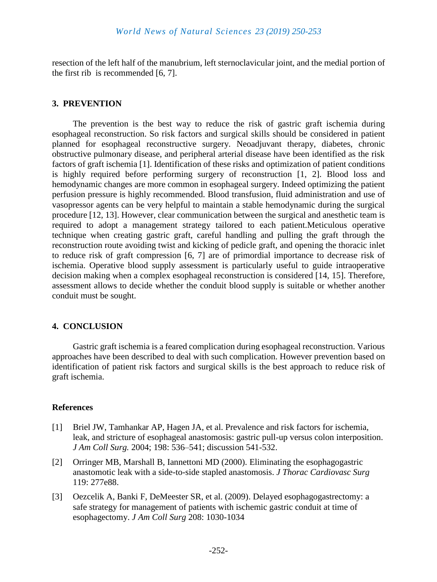resection of the left half of the manubrium, left sternoclavicular joint, and the medial portion of the first rib is recommended [6, 7].

#### **3. PREVENTION**

The prevention is the best way to reduce the risk of gastric graft ischemia during esophageal reconstruction. So risk factors and surgical skills should be considered in patient planned for esophageal reconstructive surgery. Neoadjuvant therapy, diabetes, chronic obstructive pulmonary disease, and peripheral arterial disease have been identified as the risk factors of graft ischemia [1]. Identification of these risks and optimization of patient conditions is highly required before performing surgery of reconstruction [1, 2]. Blood loss and hemodynamic changes are more common in esophageal surgery. Indeed optimizing the patient perfusion pressure is highly recommended. Blood transfusion, fluid administration and use of vasopressor agents can be very helpful to maintain a stable hemodynamic during the surgical procedure [12, 13]. However, clear communication between the surgical and anesthetic team is required to adopt a management strategy tailored to each patient.Meticulous operative technique when creating gastric graft, careful handling and pulling the graft through the reconstruction route avoiding twist and kicking of pedicle graft, and opening the thoracic inlet to reduce risk of graft compression [6, 7] are of primordial importance to decrease risk of ischemia. Operative blood supply assessment is particularly useful to guide intraoperative decision making when a complex esophageal reconstruction is considered [14, 15]. Therefore, assessment allows to decide whether the conduit blood supply is suitable or whether another conduit must be sought.

#### **4. CONCLUSION**

Gastric graft ischemia is a feared complication during esophageal reconstruction. Various approaches have been described to deal with such complication. However prevention based on identification of patient risk factors and surgical skills is the best approach to reduce risk of graft ischemia.

#### **References**

- [1] Briel JW, Tamhankar AP, Hagen JA, et al. Prevalence and risk factors for ischemia, leak, and stricture of esophageal anastomosis: gastric pull-up versus colon interposition. *J Am Coll Surg.* 2004; 198: 536–541; discussion 541-532.
- [2] Orringer MB, Marshall B, Iannettoni MD (2000). Eliminating the esophagogastric anastomotic leak with a side-to-side stapled anastomosis. *J Thorac Cardiovasc Surg* 119: 277e88.
- [3] Oezcelik A, Banki F, DeMeester SR, et al. (2009). Delayed esophagogastrectomy: a safe strategy for management of patients with ischemic gastric conduit at time of esophagectomy. *J Am Coll Surg* 208: 1030-1034